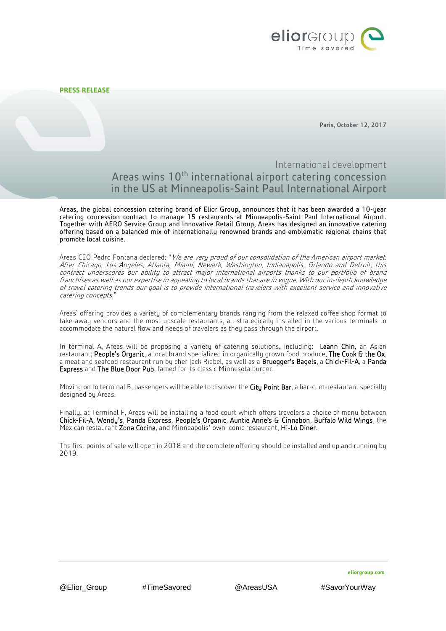

Paris, October 12, 2017

## International development Areas wins 10<sup>th</sup> international airport catering concession in the US at Minneapolis-Saint Paul International Airport

Areas, the global concession catering brand of Elior Group, announces that it has been awarded a 10-year catering concession contract to manage 15 restaurants at Minneapolis-Saint Paul International Airport. Together with AERO Service Group and Innovative Retail Group, Areas has designed an innovative catering offering based on a balanced mix of internationally renowned brands and emblematic regional chains that promote local cuisine.

Areas CEO Pedro Fontana declared: "We are very proud of our consolidation of the American airport market. After Chicago, Los Angeles, Atlanta, Miami, Newark, Washington, Indianapolis, Orlando and Detroit, this contract underscores our ability to attract major international airports thanks to our portfolio of brand franchises as well as our expertise in appealing to local brands that are in vogue. With our in-depth knowledge of travel catering trends our goal is to provide international travelers with excellent service and innovative catering concepts."

Areas' offering provides a variety of complementary brands ranging from the relaxed coffee shop format to take-away vendors and the most upscale restaurants, all strategically installed in the various terminals to accommodate the natural flow and needs of travelers as they pass through the airport.

In terminal A, Areas will be proposing a variety of catering solutions, including: Leann Chin, an Asian restaurant; People's Organic, a local brand specialized in organically grown food produce; The Cook & the Ox,<br>a meat and seafood restaurant run by chef Jack Riebel, as well as a Bruegger's Bagels, a Chick-Fil-A, a Panda Express and The Blue Door Pub, famed for its classic Minnesota burger.

Moving on to terminal B, passengers will be able to discover the City Point Bar, a bar-cum-restaurant specially designed by Areas.

Finally, at Terminal F, Areas will be installing a food court which offers travelers a choice of menu between Chick-Fil-A, Wendy's, Panda Express, People's Organic, Auntie Anne's & Cinnabon, Buffalo Wild Wings, the Mexican restaurant Zona Cocina, and Minneapolis' own iconic restaurant, Hi-Lo Diner.

The first points of sale will open in 2018 and the complete offering should be installed and up and running by 2019.

**eliorgroup.com**